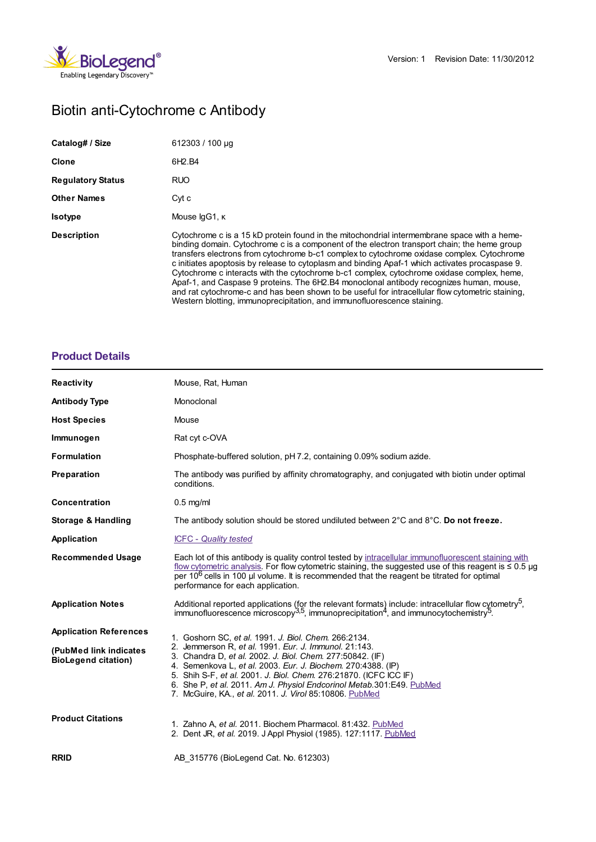

# Biotin anti-Cytochrome c Antibody

| Catalog# / Size          | 612303 / 100 µg                                                                                                                                                                                                                                                                                                                                                                                                                                                                                                                                                                                                                                                                                                                                                    |
|--------------------------|--------------------------------------------------------------------------------------------------------------------------------------------------------------------------------------------------------------------------------------------------------------------------------------------------------------------------------------------------------------------------------------------------------------------------------------------------------------------------------------------------------------------------------------------------------------------------------------------------------------------------------------------------------------------------------------------------------------------------------------------------------------------|
| Clone                    | 6H <sub>2</sub> .B <sub>4</sub>                                                                                                                                                                                                                                                                                                                                                                                                                                                                                                                                                                                                                                                                                                                                    |
| <b>Regulatory Status</b> | <b>RUO</b>                                                                                                                                                                                                                                                                                                                                                                                                                                                                                                                                                                                                                                                                                                                                                         |
| <b>Other Names</b>       | Cyt c                                                                                                                                                                                                                                                                                                                                                                                                                                                                                                                                                                                                                                                                                                                                                              |
| <b>Isotype</b>           | Mouse lgG1, K                                                                                                                                                                                                                                                                                                                                                                                                                                                                                                                                                                                                                                                                                                                                                      |
| <b>Description</b>       | Cytochrome c is a 15 kD protein found in the mitochondrial intermembrane space with a heme-<br>binding domain. Cytochrome c is a component of the electron transport chain; the heme group<br>transfers electrons from cytochrome b-c1 complex to cytochrome oxidase complex. Cytochrome<br>c initiates apoptosis by release to cytoplasm and binding Apaf-1 which activates procaspase 9.<br>Cytochrome c interacts with the cytochrome b-c1 complex, cytochrome oxidase complex, heme,<br>Apaf-1, and Caspase 9 proteins. The 6H2.B4 monoclonal antibody recognizes human, mouse,<br>and rat cytochrome-c and has been shown to be useful for intracellular flow cytometric staining.<br>Western blotting, immunoprecipitation, and immunofluorescence staining. |

## **[Product](https://www.biolegend.com/fr-fr/products/biotin-anti-cytochrome-c-antibody-1997?pdf=true&displayInline=true&leftRightMargin=15&topBottomMargin=15&filename=Biotin anti-Cytochrome c Antibody.pdf#productDetails) Details**

| <b>Reactivity</b>                                    | Mouse, Rat, Human                                                                                                                                                                                                                                                                                                                                                                           |
|------------------------------------------------------|---------------------------------------------------------------------------------------------------------------------------------------------------------------------------------------------------------------------------------------------------------------------------------------------------------------------------------------------------------------------------------------------|
| <b>Antibody Type</b>                                 | Monoclonal                                                                                                                                                                                                                                                                                                                                                                                  |
| <b>Host Species</b>                                  | Mouse                                                                                                                                                                                                                                                                                                                                                                                       |
| Immunogen                                            | Rat cyt c-OVA                                                                                                                                                                                                                                                                                                                                                                               |
| <b>Formulation</b>                                   | Phosphate-buffered solution, pH 7.2, containing 0.09% sodium azide.                                                                                                                                                                                                                                                                                                                         |
| Preparation                                          | The antibody was purified by affinity chromatography, and conjugated with biotin under optimal<br>conditions.                                                                                                                                                                                                                                                                               |
| Concentration                                        | $0.5$ mg/ml                                                                                                                                                                                                                                                                                                                                                                                 |
| Storage & Handling                                   | The antibody solution should be stored undiluted between 2°C and 8°C. Do not freeze.                                                                                                                                                                                                                                                                                                        |
| Application                                          | <b>ICFC</b> - Quality tested                                                                                                                                                                                                                                                                                                                                                                |
| <b>Recommended Usage</b>                             | Each lot of this antibody is quality control tested by intracellular immunofluorescent staining with<br>flow cytometric analysis. For flow cytometric staining, the suggested use of this reagent is $\leq 0.5$ µg<br>per 10 <sup>6</sup> cells in 100 ul volume. It is recommended that the reagent be titrated for optimal<br>performance for each application.                           |
| <b>Application Notes</b>                             | Additional reported applications (for the relevant formats) include: intracellular flow cytometry <sup>5</sup> , immunofluorescence microscopy <sup>3,5</sup> , immunoprecipitation <sup>4</sup> , and immunocytochemistry <sup>5</sup> .                                                                                                                                                   |
| <b>Application References</b>                        | 1. Goshorn SC, et al. 1991. J. Biol. Chem. 266:2134.                                                                                                                                                                                                                                                                                                                                        |
| (PubMed link indicates<br><b>BioLegend citation)</b> | 2. Jemmerson R, et al. 1991. Eur. J. Immunol. 21:143.<br>3. Chandra D, et al. 2002. J. Biol. Chem. 277:50842. (IF)<br>4. Semenkova L, et al. 2003. Eur. J. Biochem. 270:4388. (IP)<br>5. Shih S-F, et al. 2001. J. Biol. Chem. 276:21870. (ICFC ICC IF)<br>6. She P, et al. 2011. Am J. Physiol Endcorinol Metab.301:E49. PubMed<br>7. McGuire, KA., et al. 2011. J. Virol 85:10806. PubMed |
| <b>Product Citations</b>                             | 1. Zahno A, et al. 2011. Biochem Pharmacol. 81:432. PubMed<br>2. Dent JR, et al. 2019. J Appl Physiol (1985). 127:1117. PubMed                                                                                                                                                                                                                                                              |
| <b>RRID</b>                                          | AB 315776 (BioLegend Cat. No. 612303)                                                                                                                                                                                                                                                                                                                                                       |